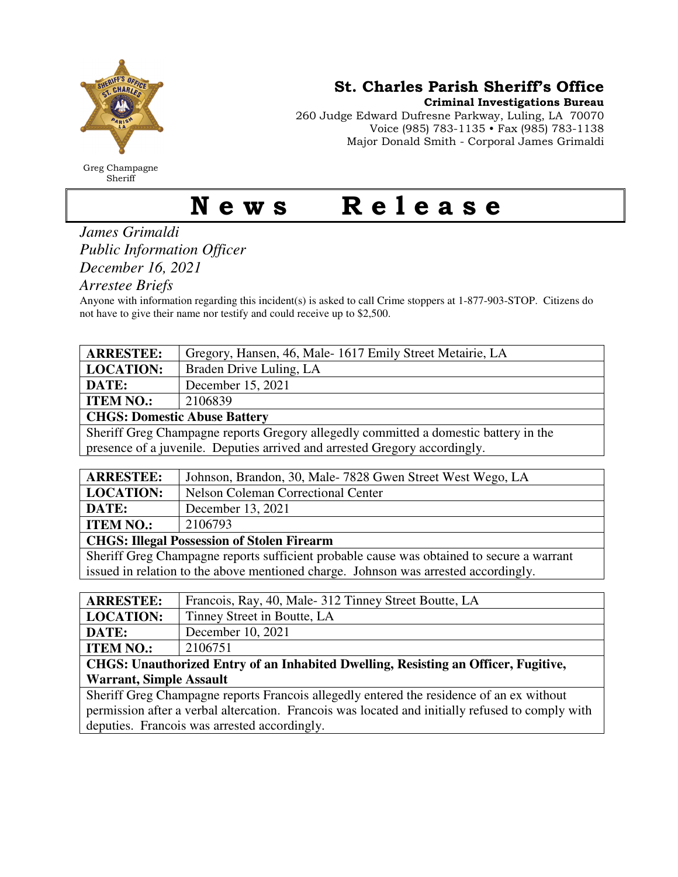

Greg Champagne Sheriff

St. Charles Parish Sheriff's Office

Criminal Investigations Bureau

260 Judge Edward Dufresne Parkway, Luling, LA 70070 Voice (985) 783-1135 • Fax (985) 783-1138 Major Donald Smith - Corporal James Grimaldi

## News Release

## *James Grimaldi Public Information Officer December 16, 2021*

*Arrestee Briefs* 

Anyone with information regarding this incident(s) is asked to call Crime stoppers at 1-877-903-STOP. Citizens do not have to give their name nor testify and could receive up to \$2,500.

| <b>ARRESTEE:</b>                                                                          | Gregory, Hansen, 46, Male-1617 Emily Street Metairie, LA  |
|-------------------------------------------------------------------------------------------|-----------------------------------------------------------|
| <b>LOCATION:</b>                                                                          | Braden Drive Luling, LA                                   |
| DATE:                                                                                     | December 15, 2021                                         |
| <b>ITEM NO.:</b>                                                                          | 2106839                                                   |
| <b>CHGS: Domestic Abuse Battery</b>                                                       |                                                           |
| Sheriff Greg Champagne reports Gregory allegedly committed a domestic battery in the      |                                                           |
| presence of a juvenile. Deputies arrived and arrested Gregory accordingly.                |                                                           |
|                                                                                           |                                                           |
| <b>ARRESTEE:</b>                                                                          | Johnson, Brandon, 30, Male-7828 Gwen Street West Wego, LA |
| <b>LOCATION:</b>                                                                          | <b>Nelson Coleman Correctional Center</b>                 |
| DATE:                                                                                     | December 13, 2021                                         |
| <b>ITEM NO.:</b>                                                                          | 2106793                                                   |
| <b>CHGS: Illegal Possession of Stolen Firearm</b>                                         |                                                           |
| Sheriff Greg Champagne reports sufficient probable cause was obtained to secure a warrant |                                                           |
| issued in relation to the above mentioned charge. Johnson was arrested accordingly.       |                                                           |
|                                                                                           |                                                           |
| <b>ARRESTEE:</b>                                                                          | Francois, Ray, 40, Male- 312 Tinney Street Boutte, LA     |
| <b>LOCATION:</b>                                                                          | Tinney Street in Boutte, LA                               |
| DATE:                                                                                     | December 10, 2021                                         |
| <b>ITEM NO.:</b>                                                                          | 2106751                                                   |
| CHGS: Unauthorized Entry of an Inhabited Dwelling, Resisting an Officer, Fugitive,        |                                                           |
| <b>Warrant, Simple Assault</b>                                                            |                                                           |

Sheriff Greg Champagne reports Francois allegedly entered the residence of an ex without permission after a verbal altercation. Francois was located and initially refused to comply with deputies. Francois was arrested accordingly.